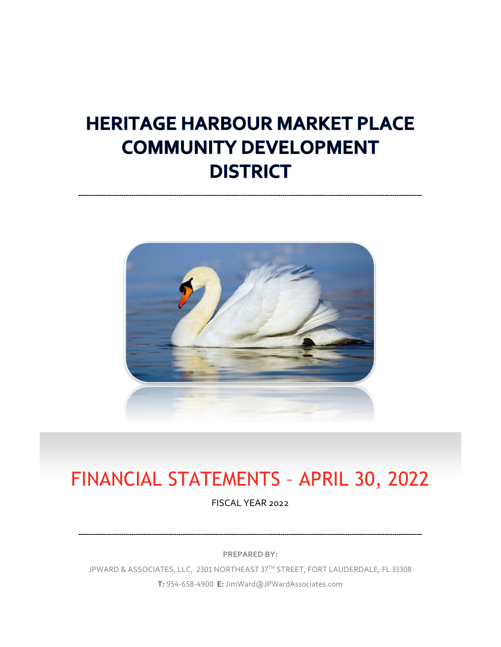# **HERITAGE HARBOUR MARKET PLACE COMMUNITY DEVELOPMENT DISTRICT**



# FINANCIAL STATEMENTS – APRIL 30, 2022

FISCAL YEAR 2022

**PREPARED BY:**

JPWARD & ASSOCIATES, LLC, 2301 NORTHEAST 37TH STREET, FORT LAUDERDALE, FL 33308 **T:** 954-658-4900 **E:** JimWard@JPWardAssociates.com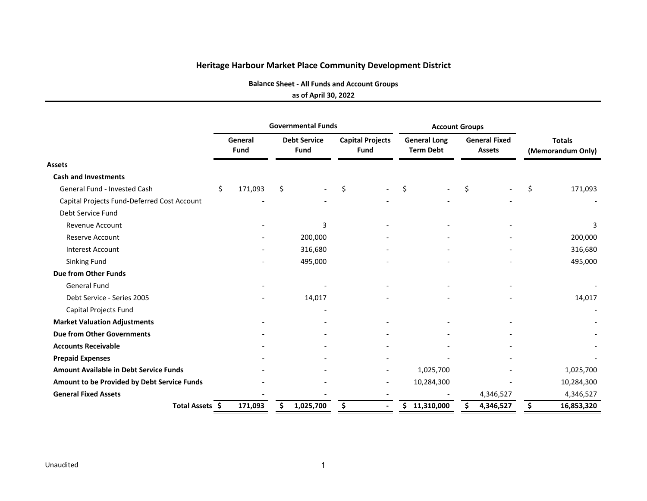**Balance Sheet ‐ All Funds and Account Groups**

#### **as of April 30, 2022**

|                                               |                 |         | <b>Governmental Funds</b>          |    |                                        |     | <b>Account Groups</b>                   |    |                                       |                                    |                          |  |
|-----------------------------------------------|-----------------|---------|------------------------------------|----|----------------------------------------|-----|-----------------------------------------|----|---------------------------------------|------------------------------------|--------------------------|--|
|                                               | General<br>Fund |         | <b>Debt Service</b><br><b>Fund</b> |    | <b>Capital Projects</b><br><b>Fund</b> |     | <b>General Long</b><br><b>Term Debt</b> |    | <b>General Fixed</b><br><b>Assets</b> | <b>Totals</b><br>(Memorandum Only) |                          |  |
| <b>Assets</b>                                 |                 |         |                                    |    |                                        |     |                                         |    |                                       |                                    |                          |  |
| <b>Cash and Investments</b>                   |                 |         |                                    |    |                                        |     |                                         |    |                                       |                                    |                          |  |
| <b>General Fund - Invested Cash</b>           | \$<br>171,093   | $\zeta$ |                                    | Ś. |                                        | \$  |                                         | \$ |                                       | \$                                 | 171,093                  |  |
| Capital Projects Fund-Deferred Cost Account   |                 |         |                                    |    |                                        |     |                                         |    |                                       |                                    |                          |  |
| Debt Service Fund                             |                 |         |                                    |    |                                        |     |                                         |    |                                       |                                    |                          |  |
| <b>Revenue Account</b>                        |                 |         | 3                                  |    |                                        |     |                                         |    |                                       |                                    | 3                        |  |
| <b>Reserve Account</b>                        |                 |         | 200,000                            |    |                                        |     |                                         |    |                                       |                                    | 200,000                  |  |
| <b>Interest Account</b>                       |                 |         | 316,680                            |    |                                        |     |                                         |    |                                       |                                    | 316,680                  |  |
| Sinking Fund                                  |                 |         | 495,000                            |    |                                        |     |                                         |    |                                       |                                    | 495,000                  |  |
| Due from Other Funds                          |                 |         |                                    |    |                                        |     |                                         |    |                                       |                                    |                          |  |
| General Fund                                  |                 |         |                                    |    |                                        |     |                                         |    |                                       |                                    |                          |  |
| Debt Service - Series 2005                    |                 |         | 14,017                             |    |                                        |     |                                         |    |                                       |                                    | 14,017                   |  |
| Capital Projects Fund                         |                 |         |                                    |    |                                        |     |                                         |    |                                       |                                    | $\overline{\phantom{a}}$ |  |
| <b>Market Valuation Adjustments</b>           |                 |         |                                    |    |                                        |     |                                         |    |                                       |                                    |                          |  |
| <b>Due from Other Governments</b>             |                 |         |                                    |    |                                        |     |                                         |    |                                       |                                    |                          |  |
| <b>Accounts Receivable</b>                    |                 |         |                                    |    |                                        |     |                                         |    |                                       |                                    |                          |  |
| <b>Prepaid Expenses</b>                       |                 |         |                                    |    |                                        |     |                                         |    |                                       |                                    |                          |  |
| <b>Amount Available in Debt Service Funds</b> |                 |         |                                    |    |                                        |     | 1,025,700                               |    |                                       |                                    | 1,025,700                |  |
| Amount to be Provided by Debt Service Funds   |                 |         |                                    |    |                                        |     | 10,284,300                              |    |                                       |                                    | 10,284,300               |  |
| <b>General Fixed Assets</b>                   |                 |         |                                    |    |                                        |     |                                         |    | 4,346,527                             |                                    | 4,346,527                |  |
| Total Assets \$                               | 171,093         | Ś.      | 1,025,700                          | \$ |                                        | \$. | 11,310,000                              | Ś. | 4,346,527                             | \$                                 | 16,853,320               |  |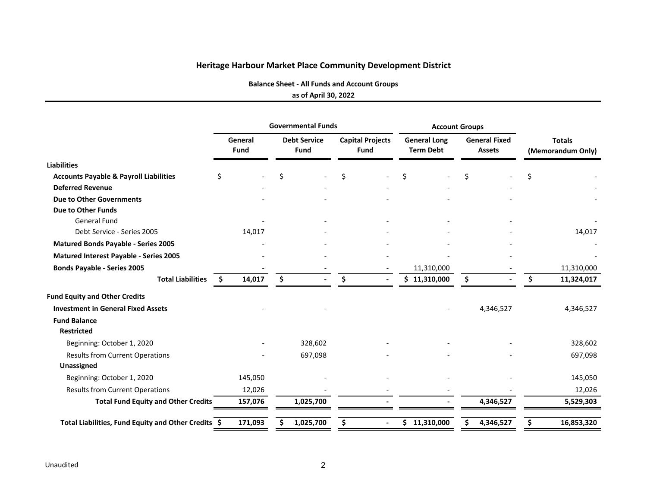**Balance Sheet ‐ All Funds and Account Groups**

#### **as of April 30, 2022**

| <b>Debt Service</b><br><b>Fund</b><br>Ś | <b>Capital Projects</b><br><b>Fund</b><br>\$ | <b>General Long</b><br><b>Term Debt</b><br>Ś    | <b>General Fixed</b><br><b>Assets</b><br>Ś. | <b>Totals</b><br>(Memorandum Only)<br>Ś |
|-----------------------------------------|----------------------------------------------|-------------------------------------------------|---------------------------------------------|-----------------------------------------|
|                                         |                                              |                                                 |                                             |                                         |
|                                         |                                              |                                                 |                                             |                                         |
|                                         |                                              |                                                 |                                             |                                         |
|                                         |                                              |                                                 |                                             |                                         |
|                                         |                                              |                                                 |                                             |                                         |
|                                         |                                              |                                                 |                                             |                                         |
|                                         |                                              |                                                 |                                             |                                         |
|                                         |                                              |                                                 |                                             | 14,017                                  |
|                                         |                                              |                                                 |                                             |                                         |
|                                         |                                              |                                                 |                                             |                                         |
|                                         |                                              | 11,310,000                                      |                                             | 11,310,000                              |
| \$                                      | \$                                           | \$11,310,000<br>$\blacksquare$                  | \$                                          | 11,324,017<br>\$.                       |
|                                         |                                              |                                                 |                                             |                                         |
|                                         |                                              |                                                 | 4,346,527                                   | 4,346,527                               |
|                                         |                                              |                                                 |                                             |                                         |
|                                         |                                              |                                                 |                                             |                                         |
|                                         |                                              |                                                 |                                             | 328,602                                 |
|                                         |                                              |                                                 |                                             | 697,098                                 |
|                                         |                                              |                                                 |                                             |                                         |
|                                         |                                              |                                                 |                                             | 145,050                                 |
|                                         |                                              |                                                 |                                             | 12,026                                  |
|                                         |                                              |                                                 | 4,346,527                                   | 5,529,303                               |
|                                         |                                              | $\overline{\phantom{0}}$                        | 4,346,527                                   | 16,853,320<br>S                         |
|                                         | 14,017<br>145,050<br>12,026<br>157,076       | 14,017<br>328,602<br>697,098<br>1,025,700<br>\$ | 171,093<br>1,025,700<br>\$11,310,000        |                                         |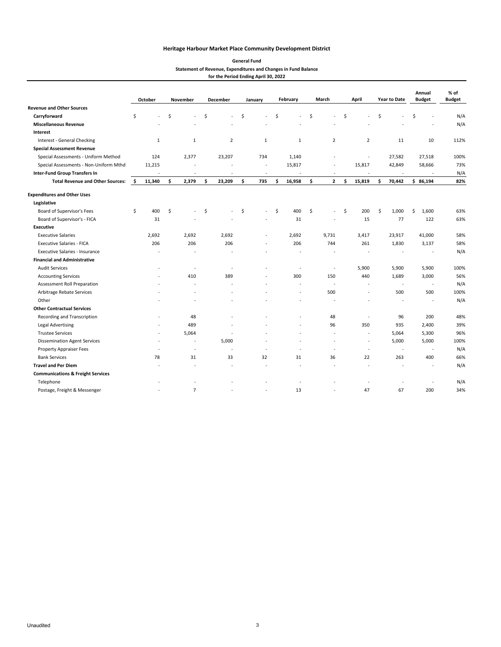#### **General Fund Statement of Revenue, Expenditures and Changes in Fund Balance for the Period Ending April 30, 2022**

|                                              |     | October      |    | November                 |    | December       | January      | February                 | March |                          |     | April                    |     | <b>Year to Date</b> | Annual<br><b>Budget</b> | % of<br><b>Budget</b> |
|----------------------------------------------|-----|--------------|----|--------------------------|----|----------------|--------------|--------------------------|-------|--------------------------|-----|--------------------------|-----|---------------------|-------------------------|-----------------------|
| <b>Revenue and Other Sources</b>             |     |              |    |                          |    |                |              |                          |       |                          |     |                          |     |                     |                         |                       |
| Carryforward                                 | \$  |              | Ś  |                          | \$ |                | \$           | \$                       | Ś     |                          | \$  |                          | \$  |                     | \$                      | N/A                   |
| <b>Miscellaneous Revenue</b>                 |     |              |    |                          |    |                |              |                          |       |                          |     |                          |     |                     |                         | N/A                   |
| Interest                                     |     |              |    |                          |    |                |              |                          |       |                          |     |                          |     |                     |                         |                       |
| Interest - General Checking                  |     | $\mathbf{1}$ |    | $1\,$                    |    | $\overline{2}$ | $\mathbf{1}$ | $\mathbf{1}$             |       | $\overline{2}$           |     | $\overline{2}$           |     | 11                  | 10                      | 112%                  |
| <b>Special Assessment Revenue</b>            |     |              |    |                          |    |                |              |                          |       |                          |     |                          |     |                     |                         |                       |
| Special Assessments - Uniform Method         |     | 124          |    | 2,377                    |    | 23,207         | 734          | 1,140                    |       |                          |     | $\overline{\phantom{a}}$ |     | 27,582              | 27,518                  | 100%                  |
| Special Assessments - Non-Uniform Mthd       |     | 11,215       |    |                          |    |                | $\sim$       | 15,817                   |       |                          |     | 15,817                   |     | 42,849              | 58,666                  | 73%                   |
| <b>Inter-Fund Group Transfers In</b>         |     |              |    | ÷,                       |    |                | ÷,           |                          |       |                          |     | ÷,                       |     |                     |                         | N/A                   |
| <b>Total Revenue and Other Sources:</b>      | -\$ | 11,340       | \$ | 2,379                    | \$ | 23,209         | \$<br>735    | \$<br>16,958             | \$    | $\overline{2}$           | \$. | 15,819                   | \$. | 70,442              | \$86,194                | 82%                   |
| <b>Expenditures and Other Uses</b>           |     |              |    |                          |    |                |              |                          |       |                          |     |                          |     |                     |                         |                       |
| Legislative                                  |     |              |    |                          |    |                |              |                          |       |                          |     |                          |     |                     |                         |                       |
| Board of Supervisor's Fees                   | \$  | 400          | \$ |                          | \$ |                | \$<br>$\sim$ | \$<br>400                | \$    |                          | \$  | 200                      | \$  | 1,000               | 1,600<br>\$             | 63%                   |
| Board of Supervisor's - FICA                 |     | 31           |    |                          |    |                |              | 31                       |       |                          |     | 15                       |     | 77                  | 122                     | 63%                   |
| <b>Executive</b>                             |     |              |    |                          |    |                |              |                          |       |                          |     |                          |     |                     |                         |                       |
| <b>Executive Salaries</b>                    |     | 2,692        |    | 2,692                    |    | 2,692          |              | 2,692                    |       | 9,731                    |     | 3,417                    |     | 23,917              | 41,000                  | 58%                   |
| <b>Executive Salaries - FICA</b>             |     | 206          |    | 206                      |    | 206            |              | 206                      |       | 744                      |     | 261                      |     | 1,830               | 3,137                   | 58%                   |
| <b>Executive Salaries - Insurance</b>        |     |              |    |                          |    |                |              |                          |       |                          |     |                          |     |                     | $\sim$                  | N/A                   |
| <b>Financial and Administrative</b>          |     |              |    |                          |    |                |              |                          |       |                          |     |                          |     |                     |                         |                       |
| <b>Audit Services</b>                        |     |              |    | $\overline{\phantom{a}}$ |    |                |              | $\overline{\phantom{a}}$ |       | $\overline{\phantom{a}}$ |     | 5,900                    |     | 5,900               | 5,900                   | 100%                  |
| <b>Accounting Services</b>                   |     |              |    | 410                      |    | 389            |              | 300                      |       | 150                      |     | 440                      |     | 1,689               | 3,000                   | 56%                   |
| Assessment Roll Preparation                  |     |              |    | $\overline{a}$           |    |                |              | ٠.                       |       |                          |     | $\ddot{\phantom{1}}$     |     | ÷,                  | $\sim$                  | N/A                   |
| Arbitrage Rebate Services                    |     |              |    |                          |    |                |              | $\overline{\phantom{a}}$ |       | 500                      |     | ÷,                       |     | 500                 | 500                     | 100%                  |
| Other                                        |     |              |    |                          |    |                |              |                          |       |                          |     |                          |     |                     | $\sim$                  | N/A                   |
| <b>Other Contractual Services</b>            |     |              |    |                          |    |                |              |                          |       |                          |     |                          |     |                     |                         |                       |
| Recording and Transcription                  |     | ٠            |    | 48                       |    |                |              | ٠.                       |       | 48                       |     | $\overline{a}$           |     | 96                  | 200                     | 48%                   |
| Legal Advertising                            |     |              |    | 489                      |    |                |              |                          |       | 96                       |     | 350                      |     | 935                 | 2,400                   | 39%                   |
| <b>Trustee Services</b>                      |     | ż.           |    | 5,064                    |    |                |              |                          |       |                          |     | $\ddot{\phantom{1}}$     |     | 5,064               | 5,300                   | 96%                   |
| <b>Dissemination Agent Services</b>          |     |              |    |                          |    | 5,000          |              |                          |       |                          |     | ÷,                       |     | 5,000               | 5,000                   | 100%                  |
| Property Appraiser Fees                      |     |              |    | $\sim$                   |    |                |              |                          |       |                          |     | ÷,                       |     |                     | $\sim$                  | N/A                   |
| <b>Bank Services</b>                         |     | 78           |    | 31                       |    | 33             | 32           | 31                       |       | 36                       |     | 22                       |     | 263                 | 400                     | 66%                   |
| <b>Travel and Per Diem</b>                   |     |              |    |                          |    |                |              |                          |       |                          |     |                          |     |                     |                         | N/A                   |
| <b>Communications &amp; Freight Services</b> |     |              |    |                          |    |                |              |                          |       |                          |     |                          |     |                     |                         |                       |
| Telephone                                    |     |              |    |                          |    |                |              |                          |       |                          |     |                          |     |                     |                         | N/A                   |
| Postage, Freight & Messenger                 |     |              |    | $\overline{7}$           |    |                |              | 13                       |       |                          |     | 47                       |     | 67                  | 200                     | 34%                   |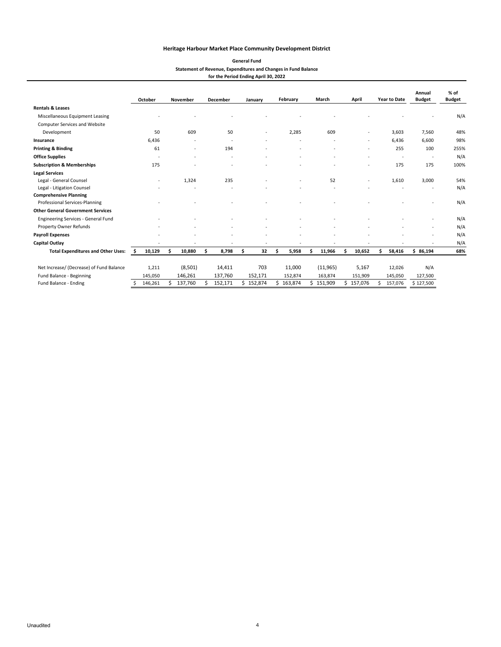| <b>General Fund</b>                                            |
|----------------------------------------------------------------|
| Statement of Revenue, Expenditures and Changes in Fund Balance |
| for the Period Ending April 30, 2022                           |

|                                           |    | October |     | November                 | <b>December</b> | January                  |    | February |    | March     |    | April   |   | <b>Year to Date</b>      | Annual<br><b>Budget</b>  | % of<br><b>Budget</b> |
|-------------------------------------------|----|---------|-----|--------------------------|-----------------|--------------------------|----|----------|----|-----------|----|---------|---|--------------------------|--------------------------|-----------------------|
| <b>Rentals &amp; Leases</b>               |    |         |     |                          |                 |                          |    |          |    |           |    |         |   |                          |                          |                       |
| Miscellaneous Equipment Leasing           |    |         |     |                          |                 |                          |    |          |    |           |    |         |   |                          |                          | N/A                   |
| <b>Computer Services and Website</b>      |    |         |     |                          |                 |                          |    |          |    |           |    |         |   |                          |                          |                       |
| Development                               |    | 50      |     | 609                      | 50              | $\overline{\phantom{a}}$ |    | 2,285    |    | 609       |    |         |   | 3,603                    | 7,560                    | 48%                   |
| Insurance                                 |    | 6,436   |     |                          | ٠               |                          |    |          |    |           |    | ٠       |   | 6,436                    | 6,600                    | 98%                   |
| <b>Printing &amp; Binding</b>             |    | 61      |     | $\overline{\phantom{a}}$ | 194             |                          |    |          |    |           |    |         |   | 255                      | 100                      | 255%                  |
| <b>Office Supplies</b>                    |    |         |     |                          | ٠               |                          |    |          |    |           |    |         |   | $\overline{\phantom{a}}$ | $\overline{\phantom{a}}$ | N/A                   |
| <b>Subscription &amp; Memberships</b>     |    | 175     |     |                          |                 |                          |    |          |    |           |    |         |   | 175                      | 175                      | 100%                  |
| <b>Legal Services</b>                     |    |         |     |                          |                 |                          |    |          |    |           |    |         |   |                          |                          |                       |
| Legal - General Counsel                   |    |         |     | 1,324                    | 235             |                          |    |          |    | 52        |    |         |   | 1,610                    | 3,000                    | 54%                   |
| Legal - Litigation Counsel                |    |         |     |                          |                 |                          |    |          |    |           |    |         |   |                          |                          | N/A                   |
| <b>Comprehensive Planning</b>             |    |         |     |                          |                 |                          |    |          |    |           |    |         |   |                          |                          |                       |
| Professional Services-Planning            |    |         |     |                          |                 |                          |    |          |    |           |    |         |   |                          |                          | N/A                   |
| <b>Other General Government Services</b>  |    |         |     |                          |                 |                          |    |          |    |           |    |         |   |                          |                          |                       |
| Engineering Services - General Fund       |    |         |     |                          |                 |                          |    |          |    |           |    |         |   |                          |                          | N/A                   |
| Property Owner Refunds                    |    |         |     |                          |                 |                          |    |          |    |           |    |         |   |                          | $\overline{\phantom{a}}$ | N/A                   |
| <b>Payroll Expenses</b>                   |    |         |     |                          |                 |                          |    |          |    |           |    |         |   |                          |                          | N/A                   |
| <b>Capital Outlay</b>                     |    |         |     |                          |                 | $\overline{\phantom{a}}$ |    |          |    |           |    |         |   |                          |                          | N/A                   |
| <b>Total Expenditures and Other Uses:</b> | Ŝ. | 10,129  | \$. | 10,880                   | \$<br>8,798     | \$<br>32                 | Ś  | 5,958    | Ś  | 11,966    |    | 10,652  | Ś | 58,416                   | \$86,194                 | 68%                   |
| Net Increase/ (Decrease) of Fund Balance  |    | 1,211   |     | (8,501)                  | 14,411          | 703                      |    | 11,000   |    | (11, 965) |    | 5,167   |   | 12,026                   | N/A                      |                       |
| Fund Balance - Beginning                  |    | 145,050 |     | 146,261                  | 137,760         | 152,171                  |    | 152,874  |    | 163,874   |    | 151,909 |   | 145,050                  | 127,500                  |                       |
| Fund Balance - Ending                     | Ś. | 146,261 | Ś   | 137,760                  | 152,171         | \$152,874                | Ś. | 163,874  | Ś. | 151,909   | Ś. | 157,076 | Ś | 157,076                  | \$127,500                |                       |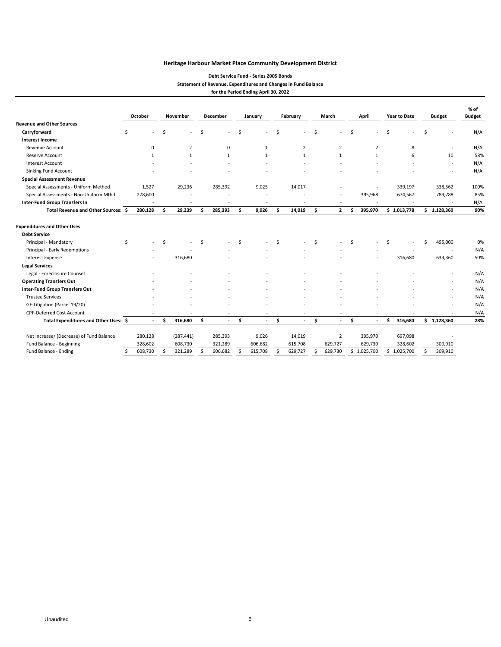#### **Debt Service Fund ‐ Series 2005 Bonds Statement of Revenue, Expenditures and Changes in Fund Balance for the Period Ending April 30, 2022**

|                                                                                    |    | October  |    | November       |     | <b>December</b> |     | January      |     | February       |     | March          | April |                | <b>Year to Date</b> |             | <b>Budget</b> |             | $%$ of<br><b>Budget</b> |
|------------------------------------------------------------------------------------|----|----------|----|----------------|-----|-----------------|-----|--------------|-----|----------------|-----|----------------|-------|----------------|---------------------|-------------|---------------|-------------|-------------------------|
| <b>Revenue and Other Sources</b>                                                   |    |          |    |                |     |                 |     |              |     |                |     |                |       |                |                     |             |               |             |                         |
| Carryforward                                                                       | \$ |          | \$ |                | Ŝ.  |                 | Ś   |              | Ś.  |                | Ś   |                | Ŝ.    |                | Ś                   |             | \$            |             | N/A                     |
| <b>Interest Income</b>                                                             |    |          |    |                |     |                 |     |              |     |                |     |                |       |                |                     |             |               |             |                         |
| Revenue Account                                                                    |    | $\Omega$ |    | $\overline{2}$ |     | 0               |     | $\mathbf{1}$ |     | $\overline{2}$ |     | $\overline{2}$ |       | $\overline{2}$ |                     | 8           |               |             | N/A                     |
| Reserve Account                                                                    |    | 1        |    | $\mathbf{1}$   |     | $\mathbf{1}$    |     | $\mathbf{1}$ |     | 1              |     | $\mathbf{1}$   |       | $\mathbf{1}$   |                     | 6           |               | 10          | 58%                     |
| <b>Interest Account</b>                                                            |    |          |    |                |     |                 |     |              |     |                |     |                |       |                |                     |             |               |             | N/A                     |
| Sinking Fund Account                                                               |    |          |    |                |     |                 |     |              |     |                |     |                |       |                |                     |             |               |             | N/A                     |
| <b>Special Assessment Revenue</b>                                                  |    |          |    |                |     |                 |     |              |     |                |     |                |       |                |                     |             |               |             |                         |
| Special Assessments - Uniform Method                                               |    | 1,527    |    | 29,236         |     | 285,392         |     | 9,025        |     | 14,017         |     |                |       |                |                     | 339,197     |               | 338,562     | 100%                    |
| Special Assessments - Non-Uniform Mthd                                             |    | 278,600  |    |                |     |                 |     |              |     |                |     |                |       | 395,968        |                     | 674,567     |               | 789,788     | 85%                     |
| <b>Inter-Fund Group Transfers In</b>                                               |    |          |    |                |     |                 |     |              |     |                |     | ٠              |       |                |                     |             |               |             | N/A                     |
| Total Revenue and Other Sources: \$                                                |    | 280,128  | Ŝ  | 29,239         | \$. | 285,393         | Ś.  | 9,026        | \$. | 14,019         | \$. | $\mathbf{2}$   | Ŝ     | 395,970        |                     | \$1,013,778 | \$            | 1,128,360   | 90%                     |
| <b>Expenditures and Other Uses</b><br><b>Debt Service</b><br>Principal - Mandatory | \$ |          | Ŝ. |                | Ŝ.  |                 | Ś.  |              | Ŝ.  |                | Ŝ.  |                | \$.   |                | \$                  | $\sim$      | Ś             | 495,000     | 0%                      |
| Principal - Early Redemptions                                                      |    |          |    |                |     |                 |     |              |     |                |     |                |       |                |                     |             |               |             | N/A                     |
| <b>Interest Expense</b>                                                            |    |          |    | 316,680        |     |                 |     |              |     |                |     |                |       |                |                     | 316,680     |               | 633,360     | 50%                     |
| <b>Legal Services</b>                                                              |    |          |    |                |     |                 |     |              |     |                |     |                |       |                |                     |             |               |             |                         |
| Legal - Foreclosure Counsel                                                        |    |          |    |                |     |                 |     |              |     |                |     |                |       |                |                     |             |               |             | N/A                     |
| <b>Operating Transfers Out</b>                                                     |    |          |    |                |     |                 |     |              |     |                |     |                |       |                |                     |             |               |             | N/A                     |
| Inter-Fund Group Transfers Out                                                     |    |          |    |                |     |                 |     |              |     |                |     |                |       |                |                     |             |               |             | N/A                     |
| <b>Trustee Services</b>                                                            |    |          |    |                |     |                 |     |              |     |                |     |                |       |                |                     |             |               |             | N/A                     |
| GF-Litigation (Parcel 19/20)                                                       |    |          |    |                |     |                 |     |              |     |                |     |                |       |                |                     |             |               |             | N/A                     |
| <b>CPF-Deferred Cost Account</b>                                                   |    |          |    |                |     |                 |     |              |     | ٠              |     |                |       |                |                     |             |               |             | N/A                     |
| Total Expenditures and Other Uses: \$                                              |    | $\sim$   | \$ | 316,680        | \$. | $\sim$          | \$. | $\sim$       | \$. | $\sim$         | Ŝ.  | $\sim$         | Ŝ.    | $\sim$         | \$.                 | 316,680     |               | \$1,128,360 | 28%                     |
| Net Increase/ (Decrease) of Fund Balance                                           |    | 280,128  |    | (287, 441)     |     | 285,393         |     | 9,026        |     | 14,019         |     | 2              |       | 395,970        |                     | 697,098     |               |             |                         |
| Fund Balance - Beginning                                                           |    | 328.602  |    | 608,730        |     | 321,289         |     | 606,682      |     | 615.708        |     | 629,727        |       | 629,730        |                     | 328,602     |               | 309.910     |                         |
| Fund Balance - Ending                                                              | \$ | 608,730  | Ŝ. | 321,289        | Ś.  | 606,682         | Ŝ.  | 615,708      | Ś.  | 629,727        | Ś.  | 629,730        |       | \$1,025,700    |                     | \$1,025,700 | Ŝ.            | 309,910     |                         |